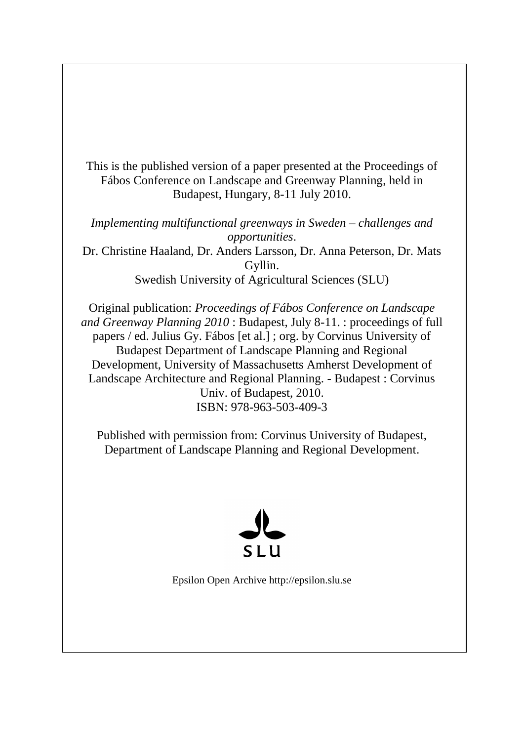This is the published version of a paper presented at the Proceedings of Fábos Conference on Landscape and Greenway Planning, held in Budapest, Hungary, 8-11 July 2010.

*Implementing multifunctional greenways in Sweden – challenges and opportunities*. Dr. Christine Haaland, Dr. Anders Larsson, Dr. Anna Peterson, Dr. Mats Gyllin. Swedish University of Agricultural Sciences (SLU)

Original publication: *Proceedings of Fábos Conference on Landscape and Greenway Planning 2010* : Budapest, July 8-11. : proceedings of full papers / ed. Julius Gy. Fábos [et al.] ; org. by Corvinus University of Budapest Department of Landscape Planning and Regional Development, University of Massachusetts Amherst Development of Landscape Architecture and Regional Planning. - Budapest : Corvinus Univ. of Budapest, 2010. ISBN: 978-963-503-409-3

Published with permission from: Corvinus University of Budapest, Department of Landscape Planning and Regional Development.



Epsilon Open Archive http://epsilon.slu.se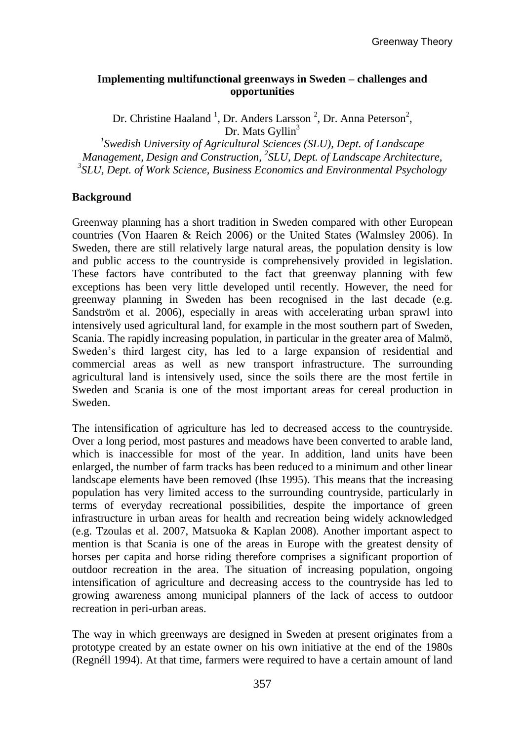## **Implementing multifunctional greenways in Sweden – challenges and opportunities**

Dr. Christine Haaland<sup>1</sup>, Dr. Anders Larsson<sup>2</sup>, Dr. Anna Peterson<sup>2</sup>, Dr. Mats Gyllin<sup>3</sup>

*1 Swedish University of Agricultural Sciences (SLU), Dept. of Landscape Management, Design and Construction, 2 SLU, Dept. of Landscape Architecture, 3 SLU, Dept. of Work Science, Business Economics and Environmental Psychology*

#### **Background**

Greenway planning has a short tradition in Sweden compared with other European countries (Von Haaren & Reich 2006) or the United States (Walmsley 2006). In Sweden, there are still relatively large natural areas, the population density is low and public access to the countryside is comprehensively provided in legislation. These factors have contributed to the fact that greenway planning with few exceptions has been very little developed until recently. However, the need for greenway planning in Sweden has been recognised in the last decade (e.g. Sandström et al. 2006), especially in areas with accelerating urban sprawl into intensively used agricultural land, for example in the most southern part of Sweden, Scania. The rapidly increasing population, in particular in the greater area of Malmö, Sweden's third largest city, has led to a large expansion of residential and commercial areas as well as new transport infrastructure. The surrounding agricultural land is intensively used, since the soils there are the most fertile in Sweden and Scania is one of the most important areas for cereal production in Sweden.

The intensification of agriculture has led to decreased access to the countryside. Over a long period, most pastures and meadows have been converted to arable land, which is inaccessible for most of the year. In addition, land units have been enlarged, the number of farm tracks has been reduced to a minimum and other linear landscape elements have been removed (Ihse 1995). This means that the increasing population has very limited access to the surrounding countryside, particularly in terms of everyday recreational possibilities, despite the importance of green infrastructure in urban areas for health and recreation being widely acknowledged (e.g. Tzoulas et al. 2007, Matsuoka & Kaplan 2008). Another important aspect to mention is that Scania is one of the areas in Europe with the greatest density of horses per capita and horse riding therefore comprises a significant proportion of outdoor recreation in the area. The situation of increasing population, ongoing intensification of agriculture and decreasing access to the countryside has led to growing awareness among municipal planners of the lack of access to outdoor recreation in peri-urban areas.

The way in which greenways are designed in Sweden at present originates from a prototype created by an estate owner on his own initiative at the end of the 1980s (Regnéll 1994). At that time, farmers were required to have a certain amount of land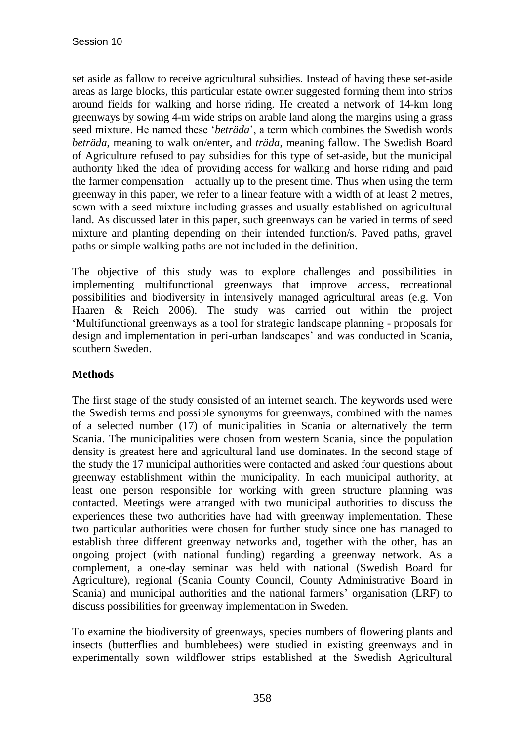set aside as fallow to receive agricultural subsidies. Instead of having these set-aside areas as large blocks, this particular estate owner suggested forming them into strips around fields for walking and horse riding. He created a network of 14-km long greenways by sowing 4-m wide strips on arable land along the margins using a grass seed mixture. He named these '*beträda*', a term which combines the Swedish words *beträda*, meaning to walk on/enter, and *träda*, meaning fallow. The Swedish Board of Agriculture refused to pay subsidies for this type of set-aside, but the municipal authority liked the idea of providing access for walking and horse riding and paid the farmer compensation – actually up to the present time. Thus when using the term greenway in this paper, we refer to a linear feature with a width of at least 2 metres, sown with a seed mixture including grasses and usually established on agricultural land. As discussed later in this paper, such greenways can be varied in terms of seed mixture and planting depending on their intended function/s. Paved paths, gravel paths or simple walking paths are not included in the definition.

The objective of this study was to explore challenges and possibilities in implementing multifunctional greenways that improve access, recreational possibilities and biodiversity in intensively managed agricultural areas (e.g. Von Haaren & Reich 2006). The study was carried out within the project 'Multifunctional greenways as a tool for strategic landscape planning - proposals for design and implementation in peri-urban landscapes' and was conducted in Scania, southern Sweden.

# **Methods**

The first stage of the study consisted of an internet search. The keywords used were the Swedish terms and possible synonyms for greenways, combined with the names of a selected number (17) of municipalities in Scania or alternatively the term Scania. The municipalities were chosen from western Scania, since the population density is greatest here and agricultural land use dominates. In the second stage of the study the 17 municipal authorities were contacted and asked four questions about greenway establishment within the municipality. In each municipal authority, at least one person responsible for working with green structure planning was contacted. Meetings were arranged with two municipal authorities to discuss the experiences these two authorities have had with greenway implementation. These two particular authorities were chosen for further study since one has managed to establish three different greenway networks and, together with the other, has an ongoing project (with national funding) regarding a greenway network. As a complement, a one-day seminar was held with national (Swedish Board for Agriculture), regional (Scania County Council, County Administrative Board in Scania) and municipal authorities and the national farmers' organisation (LRF) to discuss possibilities for greenway implementation in Sweden.

To examine the biodiversity of greenways, species numbers of flowering plants and insects (butterflies and bumblebees) were studied in existing greenways and in experimentally sown wildflower strips established at the Swedish Agricultural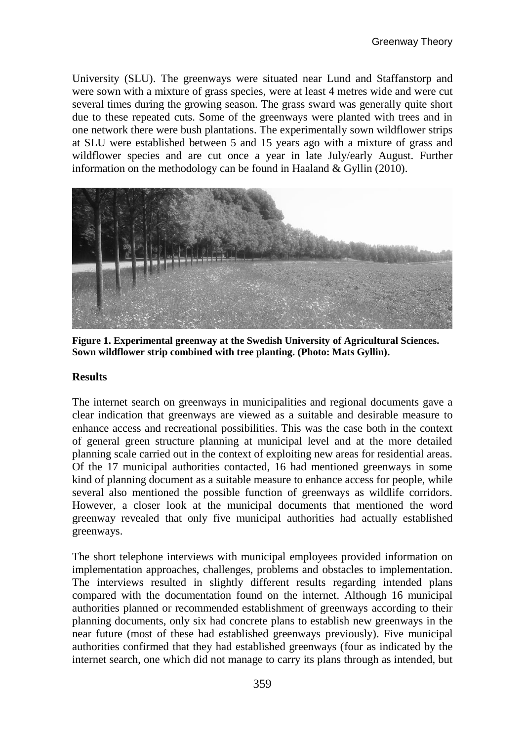University (SLU). The greenways were situated near Lund and Staffanstorp and were sown with a mixture of grass species, were at least 4 metres wide and were cut several times during the growing season. The grass sward was generally quite short due to these repeated cuts. Some of the greenways were planted with trees and in one network there were bush plantations. The experimentally sown wildflower strips at SLU were established between 5 and 15 years ago with a mixture of grass and wildflower species and are cut once a year in late July/early August. Further information on the methodology can be found in Haaland & Gyllin (2010).



**Figure 1. Experimental greenway at the Swedish University of Agricultural Sciences. Sown wildflower strip combined with tree planting. (Photo: Mats Gyllin).**

#### **Results**

The internet search on greenways in municipalities and regional documents gave a clear indication that greenways are viewed as a suitable and desirable measure to enhance access and recreational possibilities. This was the case both in the context of general green structure planning at municipal level and at the more detailed planning scale carried out in the context of exploiting new areas for residential areas. Of the 17 municipal authorities contacted, 16 had mentioned greenways in some kind of planning document as a suitable measure to enhance access for people, while several also mentioned the possible function of greenways as wildlife corridors. However, a closer look at the municipal documents that mentioned the word greenway revealed that only five municipal authorities had actually established greenways.

The short telephone interviews with municipal employees provided information on implementation approaches, challenges, problems and obstacles to implementation. The interviews resulted in slightly different results regarding intended plans compared with the documentation found on the internet. Although 16 municipal authorities planned or recommended establishment of greenways according to their planning documents, only six had concrete plans to establish new greenways in the near future (most of these had established greenways previously). Five municipal authorities confirmed that they had established greenways (four as indicated by the internet search, one which did not manage to carry its plans through as intended, but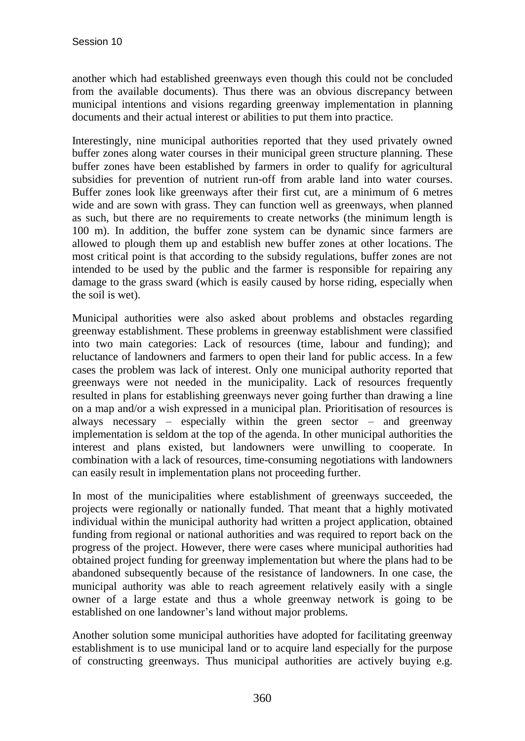another which had established greenways even though this could not be concluded from the available documents). Thus there was an obvious discrepancy between municipal intentions and visions regarding greenway implementation in planning documents and their actual interest or abilities to put them into practice.

Interestingly, nine municipal authorities reported that they used privately owned buffer zones along water courses in their municipal green structure planning. These buffer zones have been established by farmers in order to qualify for agricultural subsidies for prevention of nutrient run-off from arable land into water courses. Buffer zones look like greenways after their first cut, are a minimum of 6 metres wide and are sown with grass. They can function well as greenways, when planned as such, but there are no requirements to create networks (the minimum length is 100 m). In addition, the buffer zone system can be dynamic since farmers are allowed to plough them up and establish new buffer zones at other locations. The most critical point is that according to the subsidy regulations, buffer zones are not intended to be used by the public and the farmer is responsible for repairing any damage to the grass sward (which is easily caused by horse riding, especially when the soil is wet).

Municipal authorities were also asked about problems and obstacles regarding greenway establishment. These problems in greenway establishment were classified into two main categories: Lack of resources (time, labour and funding); and reluctance of landowners and farmers to open their land for public access. In a few cases the problem was lack of interest. Only one municipal authority reported that greenways were not needed in the municipality. Lack of resources frequently resulted in plans for establishing greenways never going further than drawing a line on a map and/or a wish expressed in a municipal plan. Prioritisation of resources is always necessary – especially within the green sector – and greenway implementation is seldom at the top of the agenda. In other municipal authorities the interest and plans existed, but landowners were unwilling to cooperate. In combination with a lack of resources, time-consuming negotiations with landowners can easily result in implementation plans not proceeding further.

In most of the municipalities where establishment of greenways succeeded, the projects were regionally or nationally funded. That meant that a highly motivated individual within the municipal authority had written a project application, obtained funding from regional or national authorities and was required to report back on the progress of the project. However, there were cases where municipal authorities had obtained project funding for greenway implementation but where the plans had to be abandoned subsequently because of the resistance of landowners. In one case, the municipal authority was able to reach agreement relatively easily with a single owner of a large estate and thus a whole greenway network is going to be established on one landowner's land without major problems.

Another solution some municipal authorities have adopted for facilitating greenway establishment is to use municipal land or to acquire land especially for the purpose of constructing greenways. Thus municipal authorities are actively buying e.g.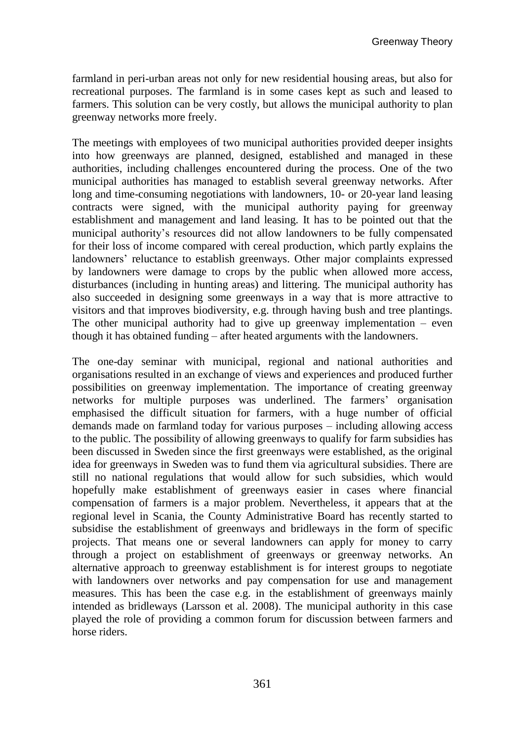farmland in peri-urban areas not only for new residential housing areas, but also for recreational purposes. The farmland is in some cases kept as such and leased to farmers. This solution can be very costly, but allows the municipal authority to plan greenway networks more freely.

The meetings with employees of two municipal authorities provided deeper insights into how greenways are planned, designed, established and managed in these authorities, including challenges encountered during the process. One of the two municipal authorities has managed to establish several greenway networks. After long and time-consuming negotiations with landowners, 10- or 20-year land leasing contracts were signed, with the municipal authority paying for greenway establishment and management and land leasing. It has to be pointed out that the municipal authority's resources did not allow landowners to be fully compensated for their loss of income compared with cereal production, which partly explains the landowners' reluctance to establish greenways. Other major complaints expressed by landowners were damage to crops by the public when allowed more access, disturbances (including in hunting areas) and littering. The municipal authority has also succeeded in designing some greenways in a way that is more attractive to visitors and that improves biodiversity, e.g. through having bush and tree plantings. The other municipal authority had to give up greenway implementation  $-$  even though it has obtained funding – after heated arguments with the landowners.

The one-day seminar with municipal, regional and national authorities and organisations resulted in an exchange of views and experiences and produced further possibilities on greenway implementation. The importance of creating greenway networks for multiple purposes was underlined. The farmers' organisation emphasised the difficult situation for farmers, with a huge number of official demands made on farmland today for various purposes – including allowing access to the public. The possibility of allowing greenways to qualify for farm subsidies has been discussed in Sweden since the first greenways were established, as the original idea for greenways in Sweden was to fund them via agricultural subsidies. There are still no national regulations that would allow for such subsidies, which would hopefully make establishment of greenways easier in cases where financial compensation of farmers is a major problem. Nevertheless, it appears that at the regional level in Scania, the County Administrative Board has recently started to subsidise the establishment of greenways and bridleways in the form of specific projects. That means one or several landowners can apply for money to carry through a project on establishment of greenways or greenway networks. An alternative approach to greenway establishment is for interest groups to negotiate with landowners over networks and pay compensation for use and management measures. This has been the case e.g. in the establishment of greenways mainly intended as bridleways (Larsson et al. 2008). The municipal authority in this case played the role of providing a common forum for discussion between farmers and horse riders.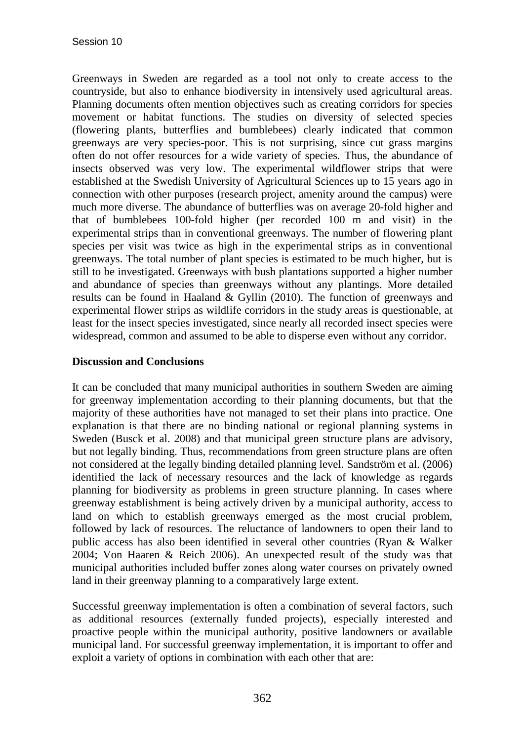Greenways in Sweden are regarded as a tool not only to create access to the countryside, but also to enhance biodiversity in intensively used agricultural areas. Planning documents often mention objectives such as creating corridors for species movement or habitat functions. The studies on diversity of selected species (flowering plants, butterflies and bumblebees) clearly indicated that common greenways are very species-poor. This is not surprising, since cut grass margins often do not offer resources for a wide variety of species. Thus, the abundance of insects observed was very low. The experimental wildflower strips that were established at the Swedish University of Agricultural Sciences up to 15 years ago in connection with other purposes (research project, amenity around the campus) were much more diverse. The abundance of butterflies was on average 20-fold higher and that of bumblebees 100-fold higher (per recorded 100 m and visit) in the experimental strips than in conventional greenways. The number of flowering plant species per visit was twice as high in the experimental strips as in conventional greenways. The total number of plant species is estimated to be much higher, but is still to be investigated. Greenways with bush plantations supported a higher number and abundance of species than greenways without any plantings. More detailed results can be found in Haaland & Gyllin (2010). The function of greenways and experimental flower strips as wildlife corridors in the study areas is questionable, at least for the insect species investigated, since nearly all recorded insect species were widespread, common and assumed to be able to disperse even without any corridor.

### **Discussion and Conclusions**

It can be concluded that many municipal authorities in southern Sweden are aiming for greenway implementation according to their planning documents, but that the majority of these authorities have not managed to set their plans into practice. One explanation is that there are no binding national or regional planning systems in Sweden (Busck et al. 2008) and that municipal green structure plans are advisory, but not legally binding. Thus, recommendations from green structure plans are often not considered at the legally binding detailed planning level. Sandström et al. (2006) identified the lack of necessary resources and the lack of knowledge as regards planning for biodiversity as problems in green structure planning. In cases where greenway establishment is being actively driven by a municipal authority, access to land on which to establish greenways emerged as the most crucial problem, followed by lack of resources. The reluctance of landowners to open their land to public access has also been identified in several other countries (Ryan & Walker 2004; Von Haaren & Reich 2006). An unexpected result of the study was that municipal authorities included buffer zones along water courses on privately owned land in their greenway planning to a comparatively large extent.

Successful greenway implementation is often a combination of several factors, such as additional resources (externally funded projects), especially interested and proactive people within the municipal authority, positive landowners or available municipal land. For successful greenway implementation, it is important to offer and exploit a variety of options in combination with each other that are: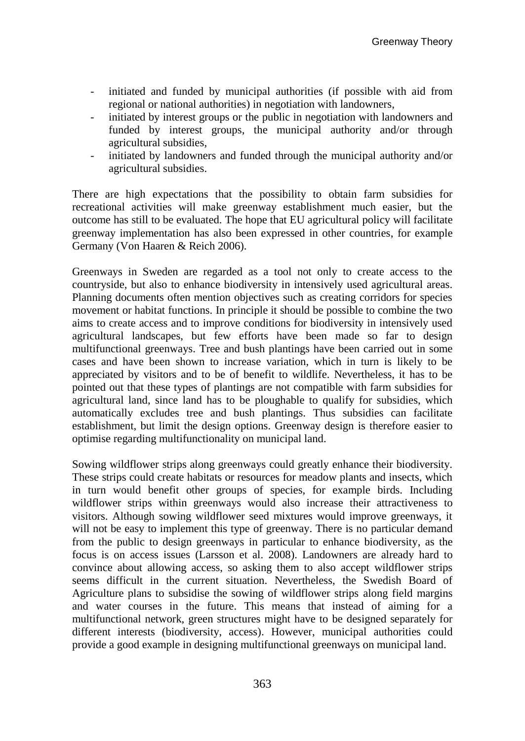- initiated and funded by municipal authorities (if possible with aid from regional or national authorities) in negotiation with landowners,
- initiated by interest groups or the public in negotiation with landowners and funded by interest groups, the municipal authority and/or through agricultural subsidies,
- initiated by landowners and funded through the municipal authority and/or agricultural subsidies.

There are high expectations that the possibility to obtain farm subsidies for recreational activities will make greenway establishment much easier, but the outcome has still to be evaluated. The hope that EU agricultural policy will facilitate greenway implementation has also been expressed in other countries, for example Germany (Von Haaren & Reich 2006).

Greenways in Sweden are regarded as a tool not only to create access to the countryside, but also to enhance biodiversity in intensively used agricultural areas. Planning documents often mention objectives such as creating corridors for species movement or habitat functions. In principle it should be possible to combine the two aims to create access and to improve conditions for biodiversity in intensively used agricultural landscapes, but few efforts have been made so far to design multifunctional greenways. Tree and bush plantings have been carried out in some cases and have been shown to increase variation, which in turn is likely to be appreciated by visitors and to be of benefit to wildlife. Nevertheless, it has to be pointed out that these types of plantings are not compatible with farm subsidies for agricultural land, since land has to be ploughable to qualify for subsidies, which automatically excludes tree and bush plantings. Thus subsidies can facilitate establishment, but limit the design options. Greenway design is therefore easier to optimise regarding multifunctionality on municipal land.

Sowing wildflower strips along greenways could greatly enhance their biodiversity. These strips could create habitats or resources for meadow plants and insects, which in turn would benefit other groups of species, for example birds. Including wildflower strips within greenways would also increase their attractiveness to visitors. Although sowing wildflower seed mixtures would improve greenways, it will not be easy to implement this type of greenway. There is no particular demand from the public to design greenways in particular to enhance biodiversity, as the focus is on access issues (Larsson et al. 2008). Landowners are already hard to convince about allowing access, so asking them to also accept wildflower strips seems difficult in the current situation. Nevertheless, the Swedish Board of Agriculture plans to subsidise the sowing of wildflower strips along field margins and water courses in the future. This means that instead of aiming for a multifunctional network, green structures might have to be designed separately for different interests (biodiversity, access). However, municipal authorities could provide a good example in designing multifunctional greenways on municipal land.